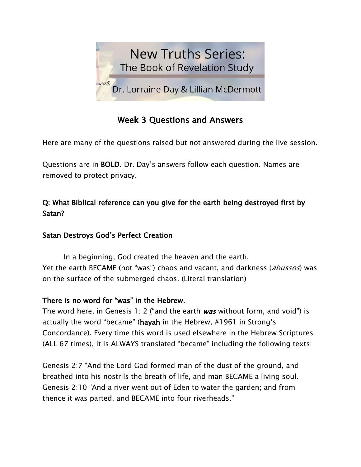

# Week 3 Questions and Answers

Here are many of the questions raised but not answered during the live session.

Questions are in BOLD. Dr. Day's answers follow each question. Names are removed to protect privacy.

# Q: What Biblical reference can you give for the earth being destroyed first by Satan?

## Satan Destroys God's Perfect Creation

In a beginning, God created the heaven and the earth. Yet the earth BECAME (not "was") chaos and vacant, and darkness (abussos) was on the surface of the submerged chaos. (Literal translation)

### There is no word for "was" in the Hebrew.

The word here, in Genesis 1: 2 ("and the earth  $was$  without form, and void") is actually the word "became" (hayah in the Hebrew, #1961 in Strong's Concordance). Every time this word is used elsewhere in the Hebrew Scriptures (ALL 67 times), it is ALWAYS translated "became" including the following texts:

Genesis 2:7 "And the Lord God formed man of the dust of the ground, and breathed into his nostrils the breath of life, and man BECAME a living soul. Genesis 2:10 "And a river went out of Eden to water the garden; and from thence it was parted, and BECAME into four riverheads."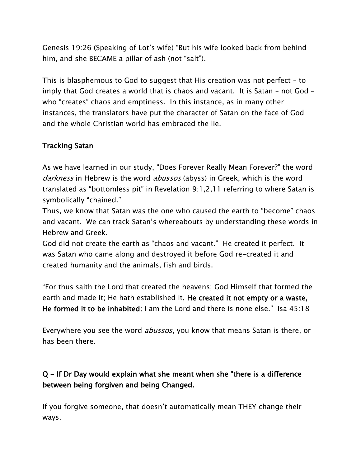Genesis 19:26 (Speaking of Lot's wife) "But his wife looked back from behind him, and she BECAME a pillar of ash (not "salt").

This is blasphemous to God to suggest that His creation was not perfect – to imply that God creates a world that is chaos and vacant. It is Satan – not God – who "creates" chaos and emptiness. In this instance, as in many other instances, the translators have put the character of Satan on the face of God and the whole Christian world has embraced the lie.

## Tracking Satan

As we have learned in our study, "Does Forever Really Mean Forever?" the word darkness in Hebrew is the word abussos (abyss) in Greek, which is the word translated as "bottomless pit" in Revelation 9:1,2,11 referring to where Satan is symbolically "chained."

Thus, we know that Satan was the one who caused the earth to "become" chaos and vacant. We can track Satan's whereabouts by understanding these words in Hebrew and Greek.

God did not create the earth as "chaos and vacant." He created it perfect. It was Satan who came along and destroyed it before God re-created it and created humanity and the animals, fish and birds.

"For thus saith the Lord that created the heavens; God Himself that formed the earth and made it; He hath established it, He created it not empty or a waste, He formed it to be inhabited: I am the Lord and there is none else." Isa 45:18

Everywhere you see the word *abussos*, you know that means Satan is there, or has been there.

# Q - If Dr Day would explain what she meant when she "there is a difference between being forgiven and being Changed.

If you forgive someone, that doesn't automatically mean THEY change their ways.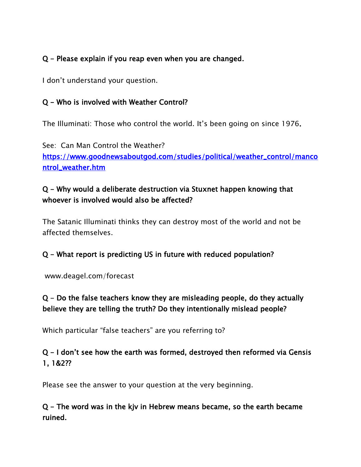### Q - Please explain if you reap even when you are changed.

I don't understand your question.

### Q - Who is involved with Weather Control?

The Illuminati: Those who control the world. It's been going on since 1976.

See: Can Man Control the Weather? [https://www.goodnewsaboutgod.com/studies/political/weather\\_control/manco](https://www.goodnewsaboutgod.com/studies/political/weather_control/mancontrol_weather.htm) [ntrol\\_weather.htm](https://www.goodnewsaboutgod.com/studies/political/weather_control/mancontrol_weather.htm) 

## Q - Why would a deliberate destruction via Stuxnet happen knowing that whoever is involved would also be affected?

The Satanic Illuminati thinks they can destroy most of the world and not be affected themselves.

### Q - What report is predicting US in future with reduced population?

www.deagel.com/forecast

# Q - Do the false teachers know they are misleading people, do they actually believe they are telling the truth? Do they intentionally mislead people?

Which particular "false teachers" are you referring to?

# Q - I don't see how the earth was formed, destroyed then reformed via Gensis 1, 1&2??

Please see the answer to your question at the very beginning.

## Q - The word was in the kjv in Hebrew means became, so the earth became ruined.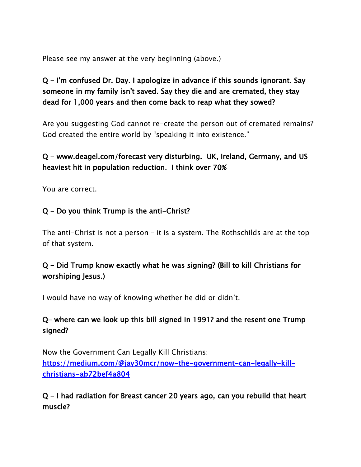Please see my answer at the very beginning (above.)

# Q - I'm confused Dr. Day. I apologize in advance if this sounds ignorant. Say someone in my family isn't saved. Say they die and are cremated, they stay dead for 1,000 years and then come back to reap what they sowed?

Are you suggesting God cannot re-create the person out of cremated remains? God created the entire world by "speaking it into existence."

## Q - www.deagel.com/forecast very disturbing. UK, Ireland, Germany, and US heaviest hit in population reduction. I think over 70%

You are correct.

### Q - Do you think Trump is the anti-Christ?

The anti-Christ is not a person – it is a system. The Rothschilds are at the top of that system.

# Q - Did Trump know exactly what he was signing? (Bill to kill Christians for worshiping Jesus.)

I would have no way of knowing whether he did or didn't.

## Q- where can we look up this bill signed in 1991? and the resent one Trump signed?

Now the Government Can Legally Kill Christians: [https://medium.com/@jay30mcr/now-the-government-can-legally-kill](https://medium.com/@jay30mcr/now-the-government-can-legally-kill-christians-ab72bef4a804)[christians-ab72bef4a804](https://medium.com/@jay30mcr/now-the-government-can-legally-kill-christians-ab72bef4a804) 

### Q - I had radiation for Breast cancer 20 years ago, can you rebuild that heart muscle?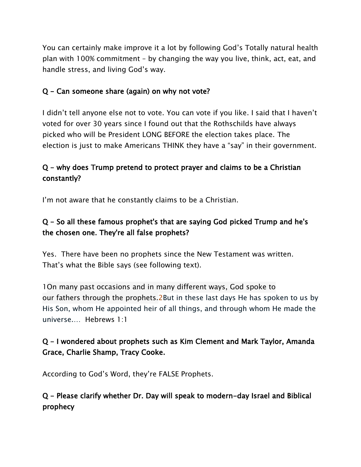You can certainly make improve it a lot by following God's Totally natural health plan with 100% commitment – by changing the way you live, think, act, eat, and handle stress, and living God's way.

### Q - Can someone share (again) on why not vote?

I didn't tell anyone else not to vote. You can vote if you like. I said that I haven't voted for over 30 years since I found out that the Rothschilds have always picked who will be President LONG BEFORE the election takes place. The election is just to make Americans THINK they have a "say" in their government.

# Q - why does Trump pretend to protect prayer and claims to be a Christian constantly?

I'm not aware that he constantly claims to be a Christian.

# Q - So all these famous prophet's that are saying God picked Trump and he's the chosen one. They're all false prophets?

Yes. There have been no prophets since the New Testament was written. That's what the Bible says (see following text).

[1On many past](https://biblehub.com/greek/3819.htm) [occasions](https://biblehub.com/greek/4181.htm) [and](https://biblehub.com/greek/2532.htm) [in many different ways,](https://biblehub.com/greek/4187.htm) [God](https://biblehub.com/greek/2316.htm) [spoke](https://biblehub.com/greek/2980.htm) [to](https://biblehub.com/greek/3588.htm)  [our](https://biblehub.com/greek/3588.htm) [fathers](https://biblehub.com/greek/3962.htm) [through](https://biblehub.com/greek/1722.htm) [the](https://biblehub.com/greek/3588.htm) [prophets.2](https://biblehub.com/greek/4396.htm)But in these last days He has spoken to us by His Son, whom He appointed heir of all things, and through whom He made the universe.… Hebrews 1:1

## Q - I wondered about prophets such as Kim Clement and Mark Taylor, Amanda Grace, Charlie Shamp, Tracy Cooke.

According to God's Word, they're FALSE Prophets.

## Q - Please clarify whether Dr. Day will speak to modern-day Israel and Biblical prophecy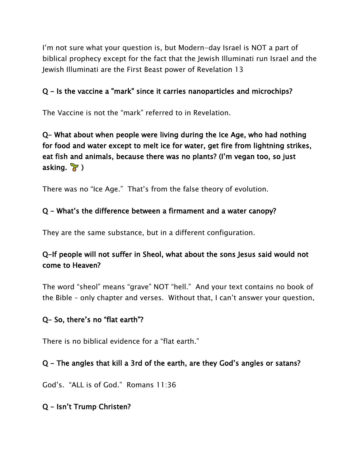I'm not sure what your question is, but Modern-day Israel is NOT a part of biblical prophecy except for the fact that the Jewish Illuminati run Israel and the Jewish Illuminati are the First Beast power of Revelation 13

### Q - Is the vaccine a "mark" since it carries nanoparticles and microchips?

The Vaccine is not the "mark" referred to in Revelation.

# Q- What about when people were living during the Ice Age, who had nothing for food and water except to melt ice for water, get fire from lightning strikes, eat fish and animals, because there was no plants? (I'm vegan too, so just asking.  $\sqrt{3}$ )

There was no "Ice Age." That's from the false theory of evolution.

### Q - What's the difference between a firmament and a water canopy?

They are the same substance, but in a different configuration.

## Q-If people will not suffer in Sheol, what about the sons Jesus said would not come to Heaven?

The word "sheol" means "grave" NOT "hell." And your text contains no book of the Bible – only chapter and verses. Without that, I can't answer your question.

#### Q- So, there's no "flat earth"?

There is no biblical evidence for a "flat earth."

#### Q - The angles that kill a 3rd of the earth, are they God's angles or satans?

God's. "ALL is of God." Romans 11:36

#### Q - Isn't Trump Christen?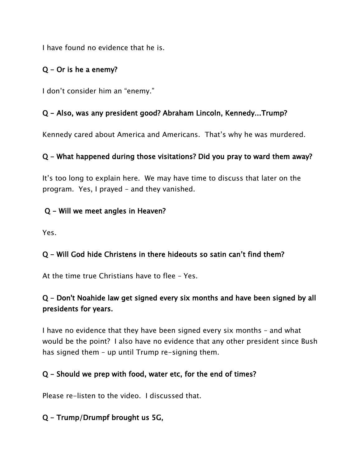I have found no evidence that he is.

## Q - Or is he a enemy?

I don't consider him an "enemy."

### Q - Also, was any president good? Abraham Lincoln, Kennedy...Trump?

Kennedy cared about America and Americans. That's why he was murdered.

### Q - What happened during those visitations? Did you pray to ward them away?

It's too long to explain here. We may have time to discuss that later on the program. Yes, I prayed – and they vanished.

### Q - Will we meet angles in Heaven?

Yes.

## Q - Will God hide Christens in there hideouts so satin can't find them?

At the time true Christians have to flee – Yes.

# Q - Don't Noahide law get signed every six months and have been signed by all presidents for years.

I have no evidence that they have been signed every six months – and what would be the point? I also have no evidence that any other president since Bush has signed them – up until Trump re-signing them.

### Q - Should we prep with food, water etc, for the end of times?

Please re-listen to the video. I discussed that.

## Q - Trump/Drumpf brought us 5G,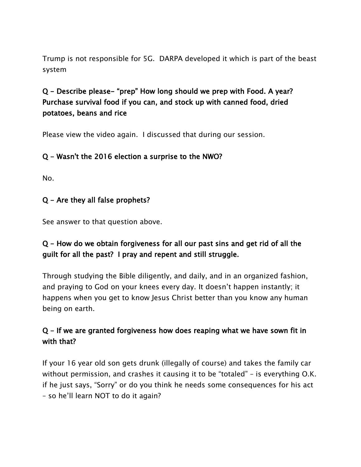Trump is not responsible for 5G. DARPA developed it which is part of the beast system

# Q - Describe please- "prep" How long should we prep with Food. A year? Purchase survival food if you can, and stock up with canned food, dried potatoes, beans and rice

Please view the video again. I discussed that during our session.

### Q - Wasn't the 2016 election a surprise to the NWO?

No.

### Q - Are they all false prophets?

See answer to that question above.

## Q - How do we obtain forgiveness for all our past sins and get rid of all the guilt for all the past? I pray and repent and still struggle.

Through studying the Bible diligently, and daily, and in an organized fashion, and praying to God on your knees every day. It doesn't happen instantly; it happens when you get to know Jesus Christ better than you know any human being on earth.

# Q - If we are granted forgiveness how does reaping what we have sown fit in with that?

If your 16 year old son gets drunk (illegally of course) and takes the family car without permission, and crashes it causing it to be "totaled" – is everything O.K. if he just says, "Sorry" or do you think he needs some consequences for his act – so he'll learn NOT to do it again?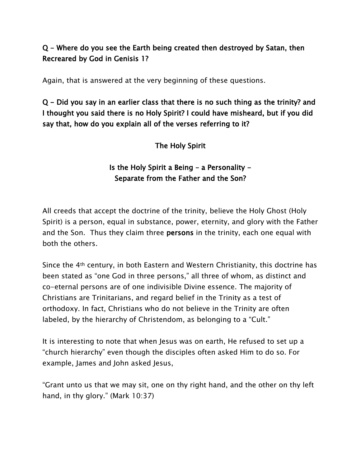## Q - Where do you see the Earth being created then destroyed by Satan, then Recreared by God in Genisis 1?

Again, that is answered at the very beginning of these questions.

Q - Did you say in an earlier class that there is no such thing as the trinity? and I thought you said there is no Holy Spirit? I could have misheard, but if you did say that, how do you explain all of the verses referring to it?

The Holy Spirit

## Is the Holy Spirit a Being  $-$  a Personality  $-$ Separate from the Father and the Son?

All creeds that accept the doctrine of the trinity, believe the Holy Ghost (Holy Spirit) is a person, equal in substance, power, eternity, and glory with the Father and the Son. Thus they claim three persons in the trinity, each one equal with both the others.

Since the 4th century, in both Eastern and Western Christianity, this doctrine has been stated as "one God in three persons," all three of whom, as distinct and co-eternal persons are of one indivisible Divine essence. The majority of Christians are Trinitarians, and regard belief in the Trinity as a test of orthodoxy. In fact, Christians who do not believe in the Trinity are often labeled, by the hierarchy of Christendom, as belonging to a "Cult."

It is interesting to note that when Jesus was on earth, He refused to set up a "church hierarchy" even though the disciples often asked Him to do so. For example, James and John asked Jesus,

"Grant unto us that we may sit, one on thy right hand, and the other on thy left hand, in thy glory." (Mark 10:37)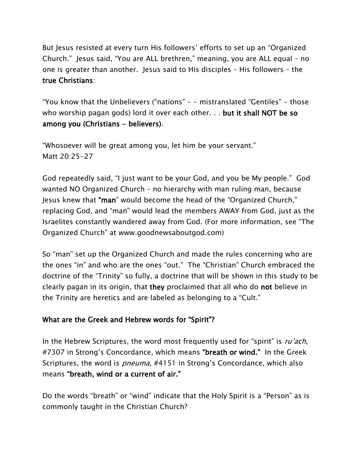But Jesus resisted at every turn His followers' efforts to set up an "Organized Church." Jesus said, "You are ALL brethren," meaning, you are ALL equal – no one is greater than another. Jesus said to His disciples – His followers – the true Christians:

"You know that the Unbelievers ("nations" – - mistranslated "Gentiles" - those who worship pagan gods) lord it over each other. . . but it shall NOT be so among you (Christians - believers).

"Whosoever will be great among you, let him be your servant." Matt 20:25-27

God repeatedly said, "I just want to be your God, and you be My people." God wanted NO Organized Church – no hierarchy with man ruling man, because Jesus knew that "man" would become the head of the "Organized Church," replacing God, and "man" would lead the members AWAY from God, just as the Israelites constantly wandered away from God. (For more information, see "The Organized Church" at www.goodnewsaboutgod.com)

So "man" set up the Organized Church and made the rules concerning who are the ones "in" and who are the ones "out." The "Christian" Church embraced the doctrine of the "Trinity" so fully, a doctrine that will be shown in this study to be clearly pagan in its origin, that they proclaimed that all who do not believe in the Trinity are heretics and are labeled as belonging to a "Cult."

### What are the Greek and Hebrew words for "Spirit"?

In the Hebrew Scriptures, the word most frequently used for "spirit" is ru'ach, #7307 in Strong's Concordance, which means "breath or wind." In the Greek Scriptures, the word is *pneuma*, #4151 in Strong's Concordance, which also means "breath, wind or a current of air."

Do the words "breath" or "wind" indicate that the Holy Spirit is a "Person" as is commonly taught in the Christian Church?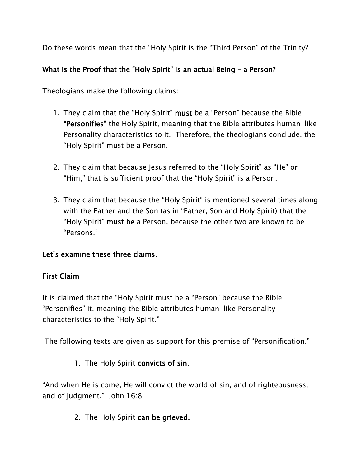Do these words mean that the "Holy Spirit is the "Third Person" of the Trinity?

## What is the Proof that the "Holy Spirit" is an actual Being - a Person?

Theologians make the following claims:

- 1. They claim that the "Holy Spirit" must be a "Person" because the Bible "Personifies" the Holy Spirit, meaning that the Bible attributes human-like Personality characteristics to it. Therefore, the theologians conclude, the "Holy Spirit" must be a Person.
- 2. They claim that because Jesus referred to the "Holy Spirit" as "He" or "Him," that is sufficient proof that the "Holy Spirit" is a Person.
- 3. They claim that because the "Holy Spirit" is mentioned several times along with the Father and the Son (as in "Father, Son and Holy Spirit) that the "Holy Spirit" must be a Person, because the other two are known to be "Persons."

### Let's examine these three claims.

### First Claim

It is claimed that the "Holy Spirit must be a "Person" because the Bible "Personifies" it, meaning the Bible attributes human-like Personality characteristics to the "Holy Spirit."

The following texts are given as support for this premise of "Personification."

1. The Holy Spirit convicts of sin.

"And when He is come, He will convict the world of sin, and of righteousness, and of judgment." John 16:8

2. The Holy Spirit can be grieved.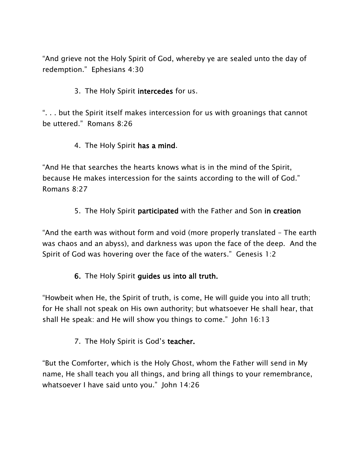"And grieve not the Holy Spirit of God, whereby ye are sealed unto the day of redemption." Ephesians 4:30

### 3. The Holy Spirit intercedes for us.

". . . but the Spirit itself makes intercession for us with groanings that cannot be uttered." Romans 8:26

#### 4. The Holy Spirit has a mind.

"And He that searches the hearts knows what is in the mind of the Spirit, because He makes intercession for the saints according to the will of God." Romans 8:27

#### 5. The Holy Spirit participated with the Father and Son in creation

"And the earth was without form and void (more properly translated – The earth was chaos and an abyss), and darkness was upon the face of the deep. And the Spirit of God was hovering over the face of the waters." Genesis 1:2

#### 6. The Holy Spirit guides us into all truth.

"Howbeit when He, the Spirit of truth, is come, He will guide you into all truth; for He shall not speak on His own authority; but whatsoever He shall hear, that shall He speak: and He will show you things to come." John 16:13

#### 7. The Holy Spirit is God's teacher.

"But the Comforter, which is the Holy Ghost, whom the Father will send in My name, He shall teach you all things, and bring all things to your remembrance, whatsoever I have said unto you." John 14:26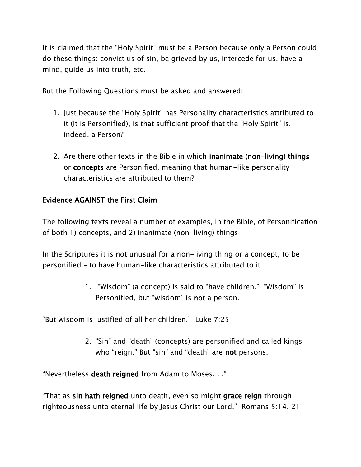It is claimed that the "Holy Spirit" must be a Person because only a Person could do these things: convict us of sin, be grieved by us, intercede for us, have a mind, guide us into truth, etc.

But the Following Questions must be asked and answered:

- 1. Just because the "Holy Spirit" has Personality characteristics attributed to it (It is Personified), is that sufficient proof that the "Holy Spirit" is, indeed, a Person?
- 2. Are there other texts in the Bible in which inanimate (non-living) things or concepts are Personified, meaning that human-like personality characteristics are attributed to them?

### Evidence AGAINST the First Claim

The following texts reveal a number of examples, in the Bible, of Personification of both 1) concepts, and 2) inanimate (non-living) things

In the Scriptures it is not unusual for a non-living thing or a concept, to be personified – to have human-like characteristics attributed to it.

> 1. "Wisdom" (a concept) is said to "have children." "Wisdom" is Personified, but "wisdom" is not a person.

"But wisdom is justified of all her children." Luke 7:25

2. "Sin" and "death" (concepts) are personified and called kings who "reign." But "sin" and "death" are not persons.

"Nevertheless death reigned from Adam to Moses. . ."

"That as sin hath reigned unto death, even so might grace reign through righteousness unto eternal life by Jesus Christ our Lord." Romans 5:14, 21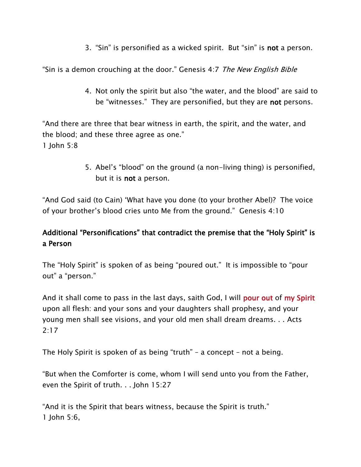3. "Sin" is personified as a wicked spirit. But "sin" is not a person.

"Sin is a demon crouching at the door." Genesis 4:7 The New English Bible

4. Not only the spirit but also "the water, and the blood" are said to be "witnesses." They are personified, but they are **not** persons.

"And there are three that bear witness in earth, the spirit, and the water, and the blood; and these three agree as one." 1 John 5:8

> 5. Abel's "blood" on the ground (a non-living thing) is personified, but it is not a person.

"And God said (to Cain) 'What have you done (to your brother Abel)? The voice of your brother's blood cries unto Me from the ground." Genesis 4:10

# Additional "Personifications" that contradict the premise that the "Holy Spirit" is a Person

The "Holy Spirit" is spoken of as being "poured out." It is impossible to "pour out" a "person."

And it shall come to pass in the last days, saith God, I will **pour out of my Spirit** upon all flesh: and your sons and your daughters shall prophesy, and your young men shall see visions, and your old men shall dream dreams. . . Acts 2:17

The Holy Spirit is spoken of as being "truth" – a concept – not a being.

"But when the Comforter is come, whom I will send unto you from the Father, even the Spirit of truth. . . John 15:27

"And it is the Spirit that bears witness, because the Spirit is truth." 1 John 5:6,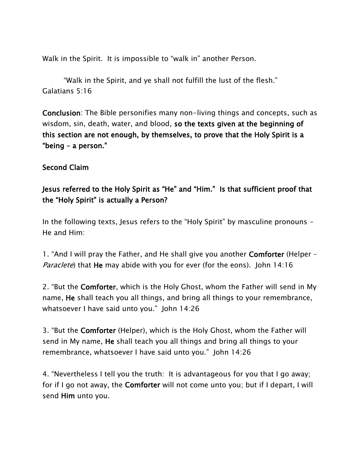Walk in the Spirit. It is impossible to "walk in" another Person.

"Walk in the Spirit, and ye shall not fulfill the lust of the flesh." Galatians 5:16

Conclusion: The Bible personifies many non-living things and concepts, such as wisdom, sin, death, water, and blood, so the texts given at the beginning of this section are not enough, by themselves, to prove that the Holy Spirit is a "being – a person."

#### Second Claim

## Jesus referred to the Holy Spirit as "He" and "Him." Is that sufficient proof that the "Holy Spirit" is actually a Person?

In the following texts, Jesus refers to the "Holy Spirit" by masculine pronouns - He and Him:

1. "And I will pray the Father, and He shall give you another Comforter (Helper – Paraclete) that He may abide with you for ever (for the eons). John 14:16

2. "But the Comforter, which is the Holy Ghost, whom the Father will send in My name, He shall teach you all things, and bring all things to your remembrance, whatsoever I have said unto you." John 14:26

3. "But the Comforter (Helper), which is the Holy Ghost, whom the Father will send in My name, He shall teach you all things and bring all things to your remembrance, whatsoever I have said unto you." John 14:26

4. "Nevertheless I tell you the truth: It is advantageous for you that I go away; for if I go not away, the **Comforter** will not come unto you; but if I depart, I will send Him unto you.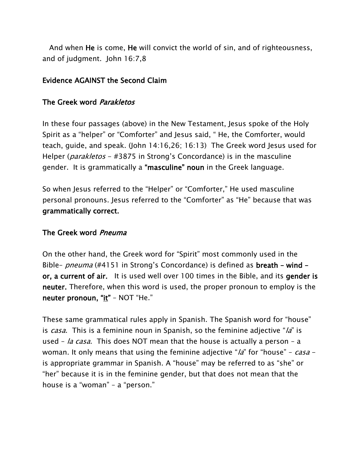And when He is come, He will convict the world of sin, and of righteousness, and of judgment. John 16:7,8

#### Evidence AGAINST the Second Claim

#### The Greek word Parakletos

In these four passages (above) in the New Testament, Jesus spoke of the Holy Spirit as a "helper" or "Comforter" and Jesus said, " He, the Comforter, would teach, guide, and speak. (John 14:16,26; 16:13) The Greek word Jesus used for Helper (*parakletos - #3875* in Strong's Concordance) is in the masculine gender. It is grammatically a "masculine" noun in the Greek language.

So when Jesus referred to the "Helper" or "Comforter," He used masculine personal pronouns. Jesus referred to the "Comforter" as "He" because that was grammatically correct.

#### The Greek word Pneuma

On the other hand, the Greek word for "Spirit" most commonly used in the Bible– *pneuma* (#4151 in Strong's Concordance) is defined as **breath** – wind – or, a current of air. It is used well over 100 times in the Bible, and its gender is neuter. Therefore, when this word is used, the proper pronoun to employ is the neuter pronoun, "it" - NOT "He."

These same grammatical rules apply in Spanish. The Spanish word for "house" is *casa*. This is a feminine noun in Spanish, so the feminine adjective " $\alpha$ " is used – *la casa*. This does NOT mean that the house is actually a person – a woman. It only means that using the feminine adjective " $\lambda a$ " for "house" – casa – is appropriate grammar in Spanish. A "house" may be referred to as "she" or "her" because it is in the feminine gender, but that does not mean that the house is a "woman" – a "person."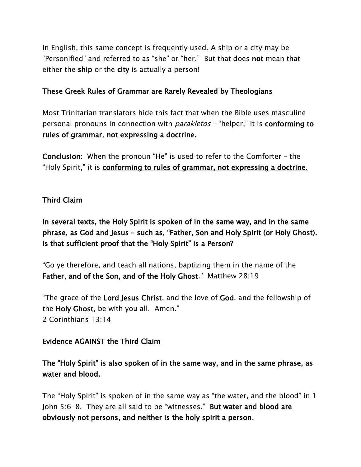In English, this same concept is frequently used. A ship or a city may be "Personified" and referred to as "she" or "her." But that does not mean that either the ship or the city is actually a person!

#### These Greek Rules of Grammar are Rarely Revealed by Theologians

Most Trinitarian translators hide this fact that when the Bible uses masculine personal pronouns in connection with *parakletos* - "helper," it is **conforming to** rules of grammar, not expressing a doctrine.

Conclusion: When the pronoun "He" is used to refer to the Comforter – the "Holy Spirit," it is conforming to rules of grammar, not expressing a doctrine.

#### Third Claim

In several texts, the Holy Spirit is spoken of in the same way, and in the same phrase, as God and Jesus – such as, "Father, Son and Holy Spirit (or Holy Ghost). Is that sufficient proof that the "Holy Spirit" is a Person?

"Go ye therefore, and teach all nations, baptizing them in the name of the Father, and of the Son, and of the Holy Ghost." Matthew 28:19

"The grace of the Lord Jesus Christ, and the love of God, and the fellowship of the Holy Ghost, be with you all. Amen." 2 Corinthians 13:14

#### Evidence AGAINST the Third Claim

### The "Holy Spirit" is also spoken of in the same way, and in the same phrase, as water and blood.

The "Holy Spirit" is spoken of in the same way as "the water, and the blood" in 1 John 5:6-8. They are all said to be "witnesses." But water and blood are obviously not persons, and neither is the holy spirit a person.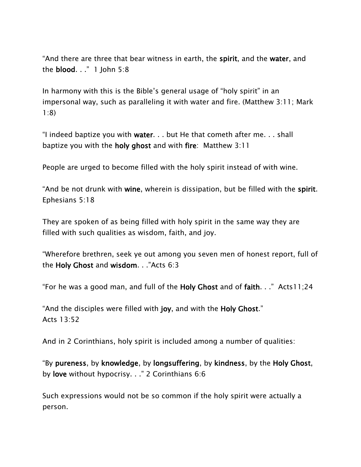"And there are three that bear witness in earth, the spirit, and the water, and the blood. . ." 1 John 5:8

In harmony with this is the Bible's general usage of "holy spirit" in an impersonal way, such as paralleling it with water and fire. (Matthew 3:11; Mark 1:8)

"I indeed baptize you with water. . . but He that cometh after me. . . shall baptize you with the holy ghost and with fire: Matthew 3:11

People are urged to become filled with the holy spirit instead of with wine.

"And be not drunk with wine, wherein is dissipation, but be filled with the spirit. Ephesians 5:18

They are spoken of as being filled with holy spirit in the same way they are filled with such qualities as wisdom, faith, and joy.

"Wherefore brethren, seek ye out among you seven men of honest report, full of the Holy Ghost and wisdom. . ."Acts 6:3

"For he was a good man, and full of the Holy Ghost and of faith. . ." Acts11;24

"And the disciples were filled with joy, and with the Holy Ghost." Acts 13:52

And in 2 Corinthians, holy spirit is included among a number of qualities:

"By pureness, by knowledge, by longsuffering, by kindness, by the Holy Ghost, by love without hypocrisy. . ." 2 Corinthians 6:6

Such expressions would not be so common if the holy spirit were actually a person.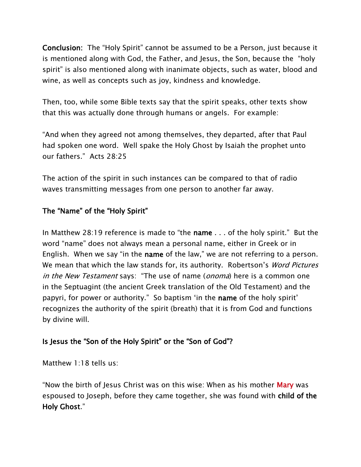Conclusion: The "Holy Spirit" cannot be assumed to be a Person, just because it is mentioned along with God, the Father, and Jesus, the Son, because the "holy spirit" is also mentioned along with inanimate objects, such as water, blood and wine, as well as concepts such as joy, kindness and knowledge.

Then, too, while some Bible texts say that the spirit speaks, other texts show that this was actually done through humans or angels. For example:

"And when they agreed not among themselves, they departed, after that Paul had spoken one word. Well spake the Holy Ghost by Isaiah the prophet unto our fathers." Acts 28:25

The action of the spirit in such instances can be compared to that of radio waves transmitting messages from one person to another far away.

#### The "Name" of the "Holy Spirit"

In Matthew 28:19 reference is made to "the name . . . of the holy spirit." But the word "name" does not always mean a personal name, either in Greek or in English. When we say "in the name of the law," we are not referring to a person. We mean that which the law stands for, its authority. Robertson's *Word Pictures* in the New Testament says: "The use of name (*onoma*) here is a common one in the Septuagint (the ancient Greek translation of the Old Testament) and the papyri, for power or authority." So baptism 'in the name of the holy spirit' recognizes the authority of the spirit (breath) that it is from God and functions by divine will.

### Is Jesus the "Son of the Holy Spirit" or the "Son of God"?

Matthew 1:18 tells us:

"Now the birth of Jesus Christ was on this wise: When as his mother **Mary** was espoused to Joseph, before they came together, she was found with child of the Holy Ghost."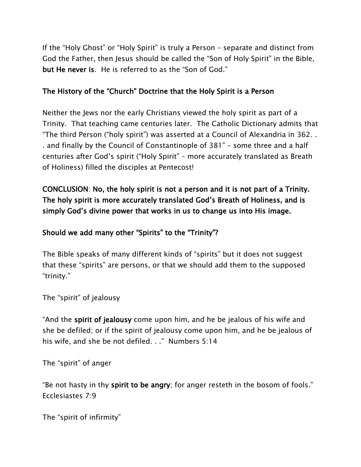If the "Holy Ghost" or "Holy Spirit" is truly a Person – separate and distinct from God the Father, then Jesus should be called the "Son of Holy Spirit" in the Bible, but He never is. He is referred to as the "Son of God."

#### The History of the "Church" Doctrine that the Holy Spirit is a Person

Neither the Jews nor the early Christians viewed the holy spirit as part of a Trinity. That teaching came centuries later. The Catholic Dictionary admits that "The third Person ("holy spirit") was asserted at a Council of Alexandria in 362. . . and finally by the Council of Constantinople of 381" – some three and a half centuries after God's spirit ("Holy Spirit" – more accurately translated as Breath of Holiness) filled the disciples at Pentecost!

CONCLUSION: No, the holy spirit is not a person and it is not part of a Trinity. The holy spirit is more accurately translated God's Breath of Holiness, and is simply God's divine power that works in us to change us into His image.

### Should we add many other "Spirits" to the "Trinity"?

The Bible speaks of many different kinds of "spirits" but it does not suggest that these "spirits" are persons, or that we should add them to the supposed "trinity."

The "spirit" of jealousy

"And the spirit of jealousy come upon him, and he be jealous of his wife and she be defiled; or if the spirit of jealousy come upon him, and he be jealous of his wife, and she be not defiled. . ." Numbers 5:14

The "spirit" of anger

"Be not hasty in thy spirit to be angry; for anger resteth in the bosom of fools." Ecclesiastes 7:9

The "spirit of infirmity"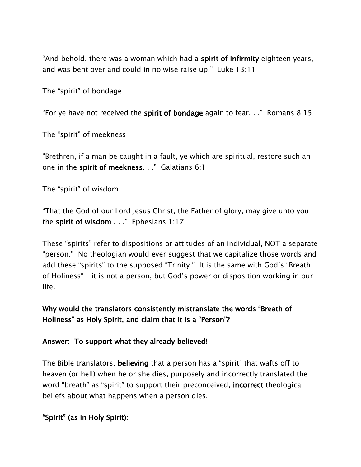"And behold, there was a woman which had a spirit of infirmity eighteen years, and was bent over and could in no wise raise up." Luke 13:11

The "spirit" of bondage

"For ye have not received the spirit of bondage again to fear.  $\ldots$ " Romans 8:15

The "spirit" of meekness

"Brethren, if a man be caught in a fault, ye which are spiritual, restore such an one in the spirit of meekness. . ." Galatians 6:1

The "spirit" of wisdom

"That the God of our Lord Jesus Christ, the Father of glory, may give unto you the spirit of wisdom . . ." Ephesians 1:17

These "spirits" refer to dispositions or attitudes of an individual, NOT a separate "person." No theologian would ever suggest that we capitalize those words and add these "spirits" to the supposed "Trinity." It is the same with God's "Breath of Holiness" – it is not a person, but God's power or disposition working in our life.

### Why would the translators consistently mistranslate the words "Breath of Holiness" as Holy Spirit, and claim that it is a "Person"?

#### Answer: To support what they already believed!

The Bible translators, believing that a person has a "spirit" that wafts off to heaven (or hell) when he or she dies, purposely and incorrectly translated the word "breath" as "spirit" to support their preconceived, **incorrect** theological beliefs about what happens when a person dies.

"Spirit" (as in Holy Spirit):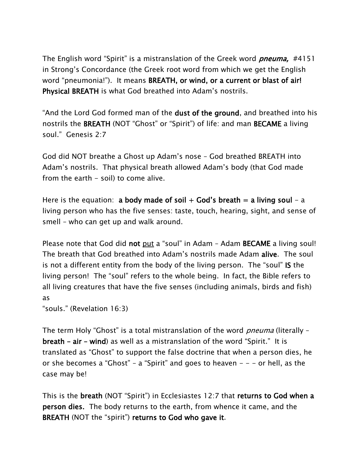The English word "Spirit" is a mistranslation of the Greek word *pneuma*, #4151 in Strong's Concordance (the Greek root word from which we get the English word "pneumonia!"). It means BREATH, or wind, or a current or blast of air! Physical BREATH is what God breathed into Adam's nostrils.

"And the Lord God formed man of the dust of the ground, and breathed into his nostrils the BREATH (NOT "Ghost" or "Spirit") of life: and man BECAME a living soul." Genesis 2:7

God did NOT breathe a Ghost up Adam's nose – God breathed BREATH into Adam's nostrils. That physical breath allowed Adam's body (that God made from the earth - soil) to come alive.

Here is the equation: a body made of soil  $+$  God's breath  $=$  a living soul  $-$  a living person who has the five senses: taste, touch, hearing, sight, and sense of smell – who can get up and walk around.

Please note that God did not put a "soul" in Adam - Adam BECAME a living soul! The breath that God breathed into Adam's nostrils made Adam alive. The soul is not a different entity from the body of the living person. The "soul" IS the living person! The "soul" refers to the whole being. In fact, the Bible refers to all living creatures that have the five senses (including animals, birds and fish) as

```
"souls." (Revelation 16:3)
```
The term Holy "Ghost" is a total mistranslation of the word *pneuma* (literally breath – air – wind) as well as a mistranslation of the word "Spirit." It is translated as "Ghost" to support the false doctrine that when a person dies, he or she becomes a "Ghost" – a "Spirit" and goes to heaven – – – or hell, as the case may be!

This is the breath (NOT "Spirit") in Ecclesiastes 12:7 that returns to God when a person dies. The body returns to the earth, from whence it came, and the BREATH (NOT the "spirit") returns to God who gave it.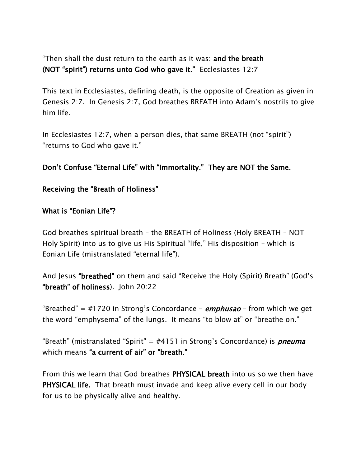"Then shall the dust return to the earth as it was: and the breath (NOT "spirit") returns unto God who gave it." Ecclesiastes 12:7

This text in Ecclesiastes, defining death, is the opposite of Creation as given in Genesis 2:7. In Genesis 2:7, God breathes BREATH into Adam's nostrils to give him life.

In Ecclesiastes 12:7, when a person dies, that same BREATH (not "spirit") "returns to God who gave it."

#### Don't Confuse "Eternal Life" with "Immortality." They are NOT the Same.

#### Receiving the "Breath of Holiness"

#### What is "Eonian Life"?

God breathes spiritual breath – the BREATH of Holiness (Holy BREATH – NOT Holy Spirit) into us to give us His Spiritual "life," His disposition – which is Eonian Life (mistranslated "eternal life").

And Jesus "breathed" on them and said "Receive the Holy (Spirit) Breath" (God's "breath" of holiness). John 20:22

"Breathed" = #1720 in Strong's Concordance -  $emphusao$  - from which we get the word "emphysema" of the lungs. It means "to blow at" or "breathe on."

"Breath" (mistranslated "Spirit" = #4151 in Strong's Concordance) is *pneuma* which means "a current of air" or "breath."

From this we learn that God breathes PHYSICAL breath into us so we then have PHYSICAL life. That breath must invade and keep alive every cell in our body for us to be physically alive and healthy.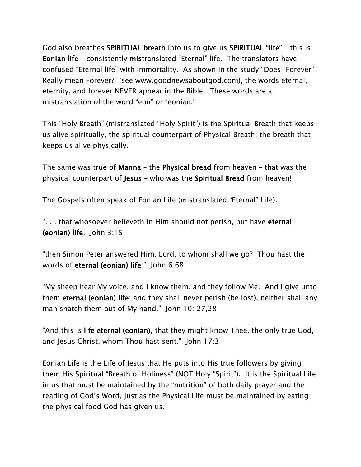God also breathes SPIRITUAL breath into us to give us SPIRITUAL "life" – this is Eonian life – consistently mistranslated "Eternal" life. The translators have confused "Eternal life" with Immortality. As shown in the study "Does "Forever" Really mean Forever?" (see www.goodnewsaboutgod.com), the words eternal, eternity, and forever NEVER appear in the Bible. These words are a mistranslation of the word "eon" or "eonian."

This "Holy Breath" (mistranslated "Holy Spirit") is the Spiritual Breath that keeps us alive spiritually, the spiritual counterpart of Physical Breath, the breath that keeps us alive physically.

The same was true of Manna – the Physical bread from heaven – that was the physical counterpart of Jesus – who was the Spiritual Bread from heaven!

The Gospels often speak of Eonian Life (mistranslated "Eternal" Life).

"... that whosoever believeth in Him should not perish, but have eternal (eonian) life. John 3:15

"then Simon Peter answered Him, Lord, to whom shall we go? Thou hast the words of eternal (eonian) life." John 6:68

"My sheep hear My voice, and I know them, and they follow Me. And I give unto them eternal (eonian) life; and they shall never perish (be lost), neither shall any man snatch them out of My hand." John 10: 27,28

"And this is life eternal (eonian), that they might know Thee, the only true God, and Jesus Christ, whom Thou hast sent." John 17:3

Eonian Life is the Life of Jesus that He puts into His true followers by giving them His Spiritual "Breath of Holiness" (NOT Holy "Spirit"). It is the Spiritual Life in us that must be maintained by the "nutrition" of both daily prayer and the reading of God's Word, just as the Physical Life must be maintained by eating the physical food God has given us.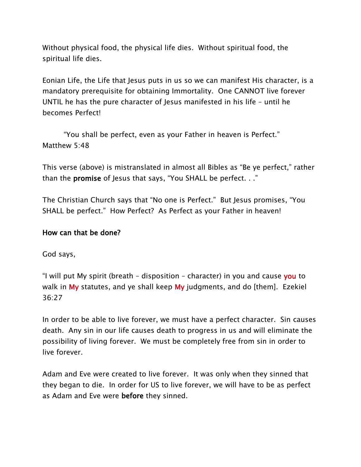Without physical food, the physical life dies. Without spiritual food, the spiritual life dies.

Eonian Life, the Life that Jesus puts in us so we can manifest His character, is a mandatory prerequisite for obtaining Immortality. One CANNOT live forever UNTIL he has the pure character of Jesus manifested in his life – until he becomes Perfect!

"You shall be perfect, even as your Father in heaven is Perfect." Matthew 5:48

This verse (above) is mistranslated in almost all Bibles as "Be ye perfect," rather than the promise of Jesus that says, "You SHALL be perfect. . ."

The Christian Church says that "No one is Perfect." But Jesus promises, "You SHALL be perfect." How Perfect? As Perfect as your Father in heaven!

#### How can that be done?

God says,

"I will put My spirit (breath – disposition – character) in you and cause you to walk in My statutes, and ye shall keep My judgments, and do [them]. Ezekiel 36:27

In order to be able to live forever, we must have a perfect character. Sin causes death. Any sin in our life causes death to progress in us and will eliminate the possibility of living forever. We must be completely free from sin in order to live forever.

Adam and Eve were created to live forever. It was only when they sinned that they began to die. In order for US to live forever, we will have to be as perfect as Adam and Eve were before they sinned.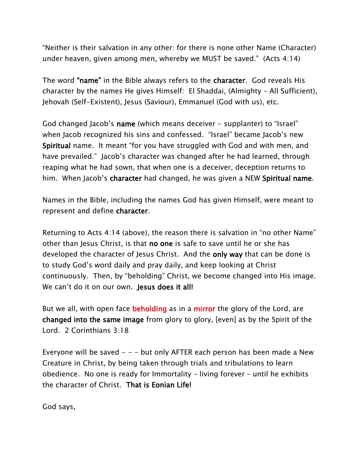"Neither is their salvation in any other: for there is none other Name (Character) under heaven, given among men, whereby we MUST be saved." (Acts 4:14)

The word "name" in the Bible always refers to the character. God reveals His character by the names He gives Himself: El Shaddai, (Almighty – All Sufficient), Jehovah (Self-Existent), Jesus (Saviour), Emmanuel (God with us), etc.

God changed Jacob's name (which means deceiver - supplanter) to "Israel" when Jacob recognized his sins and confessed. "Israel" became Jacob's new Spiritual name. It meant "for you have struggled with God and with men, and have prevailed." Jacob's character was changed after he had learned, through reaping what he had sown, that when one is a deceiver, deception returns to him. When Jacob's character had changed, he was given a NEW Spiritual name.

Names in the Bible, including the names God has given Himself, were meant to represent and define character.

Returning to Acts 4:14 (above), the reason there is salvation in "no other Name" other than Jesus Christ, is that no one is safe to save until he or she has developed the character of Jesus Christ. And the only way that can be done is to study God's word daily and pray daily, and keep looking at Christ continuously. Then, by "beholding" Christ, we become changed into His image. We can't do it on our own. Jesus does it all!

But we all, with open face **beholding** as in a **mirror** the glory of the Lord, are changed into the same image from glory to glory, [even] as by the Spirit of the Lord. 2 Corinthians 3:18

Everyone will be saved  $- -$  but only AFTER each person has been made a New Creature in Christ, by being taken through trials and tribulations to learn obedience. No one is ready for Immortality – living forever – until he exhibits the character of Christ. That is Eonian Life!

God says,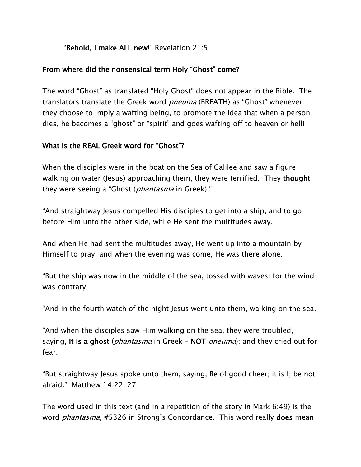#### "Behold, I make ALL new!" Revelation 21:5

#### From where did the nonsensical term Holy "Ghost" come?

The word "Ghost" as translated "Holy Ghost" does not appear in the Bible. The translators translate the Greek word *pneuma* (BREATH) as "Ghost" whenever they choose to imply a wafting being, to promote the idea that when a person dies, he becomes a "ghost" or "spirit" and goes wafting off to heaven or hell!

#### What is the REAL Greek word for "Ghost"?

When the disciples were in the boat on the Sea of Galilee and saw a figure walking on water (Jesus) approaching them, they were terrified. They thought they were seeing a "Ghost (*phantasma* in Greek)."

"And straightway Jesus compelled His disciples to get into a ship, and to go before Him unto the other side, while He sent the multitudes away.

And when He had sent the multitudes away, He went up into a mountain by Himself to pray, and when the evening was come, He was there alone.

"But the ship was now in the middle of the sea, tossed with waves: for the wind was contrary.

"And in the fourth watch of the night Jesus went unto them, walking on the sea.

"And when the disciples saw Him walking on the sea, they were troubled, saying, It is a ghost (*phantasma* in Greek – NOT *pneuma*): and they cried out for fear.

"But straightway Jesus spoke unto them, saying, Be of good cheer; it is I; be not afraid." Matthew 14:22-27

The word used in this text (and in a repetition of the story in Mark 6:49) is the word *phantasma,* #5326 in Strong's Concordance. This word really **does** mean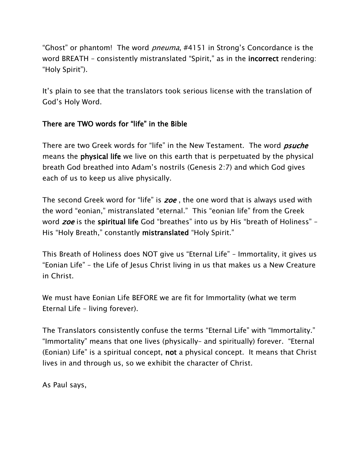"Ghost" or phantom! The word *pneuma*, #4151 in Strong's Concordance is the word BREATH – consistently mistranslated "Spirit," as in the **incorrect** rendering: "Holy Spirit").

It's plain to see that the translators took serious license with the translation of God's Holy Word.

### There are TWO words for "life" in the Bible

There are two Greek words for "life" in the New Testament. The word *psuche* means the physical life we live on this earth that is perpetuated by the physical breath God breathed into Adam's nostrils (Genesis 2:7) and which God gives each of us to keep us alive physically.

The second Greek word for "life" is zoe, the one word that is always used with the word "eonian," mistranslated "eternal." This "eonian life" from the Greek word *zoe* is the spiritual life God "breathes" into us by His "breath of Holiness" – His "Holy Breath," constantly mistranslated "Holy Spirit."

This Breath of Holiness does NOT give us "Eternal Life" – Immortality, it gives us "Eonian Life" – the Life of Jesus Christ living in us that makes us a New Creature in Christ.

We must have Eonian Life BEFORE we are fit for Immortality (what we term Eternal Life – living forever).

The Translators consistently confuse the terms "Eternal Life" with "Immortality." "Immortality" means that one lives (physically– and spiritually) forever. "Eternal (Eonian) Life" is a spiritual concept, not a physical concept. It means that Christ lives in and through us, so we exhibit the character of Christ.

As Paul says,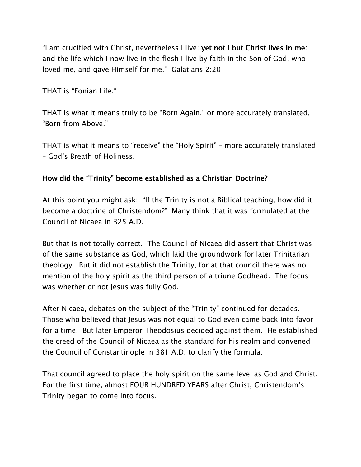"I am crucified with Christ, nevertheless I live; yet not I but Christ lives in me: and the life which I now live in the flesh I live by faith in the Son of God, who loved me, and gave Himself for me." Galatians 2:20

THAT is "Eonian Life."

THAT is what it means truly to be "Born Again," or more accurately translated, "Born from Above."

THAT is what it means to "receive" the "Holy Spirit" – more accurately translated – God's Breath of Holiness.

### How did the "Trinity" become established as a Christian Doctrine?

At this point you might ask: "If the Trinity is not a Biblical teaching, how did it become a doctrine of Christendom?" Many think that it was formulated at the Council of Nicaea in 325 A.D.

But that is not totally correct. The Council of Nicaea did assert that Christ was of the same substance as God, which laid the groundwork for later Trinitarian theology. But it did not establish the Trinity, for at that council there was no mention of the holy spirit as the third person of a triune Godhead. The focus was whether or not Jesus was fully God.

After Nicaea, debates on the subject of the "Trinity" continued for decades. Those who believed that Jesus was not equal to God even came back into favor for a time. But later Emperor Theodosius decided against them. He established the creed of the Council of Nicaea as the standard for his realm and convened the Council of Constantinople in 381 A.D. to clarify the formula.

That council agreed to place the holy spirit on the same level as God and Christ. For the first time, almost FOUR HUNDRED YEARS after Christ, Christendom's Trinity began to come into focus.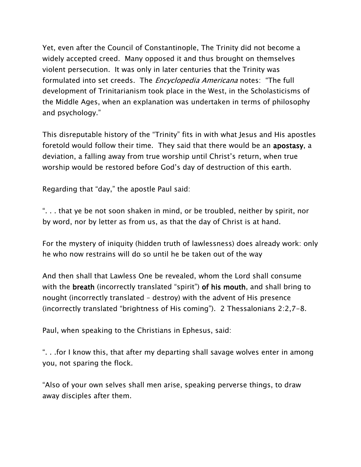Yet, even after the Council of Constantinople, The Trinity did not become a widely accepted creed. Many opposed it and thus brought on themselves violent persecution. It was only in later centuries that the Trinity was formulated into set creeds. The *Encyclopedia Americana* notes: "The full development of Trinitarianism took place in the West, in the Scholasticisms of the Middle Ages, when an explanation was undertaken in terms of philosophy and psychology."

This disreputable history of the "Trinity" fits in with what Jesus and His apostles foretold would follow their time. They said that there would be an apostasy, a deviation, a falling away from true worship until Christ's return, when true worship would be restored before God's day of destruction of this earth.

Regarding that "day," the apostle Paul said:

". . . that ye be not soon shaken in mind, or be troubled, neither by spirit, nor by word, nor by letter as from us, as that the day of Christ is at hand.

For the mystery of iniquity (hidden truth of lawlessness) does already work: only he who now restrains will do so until he be taken out of the way

And then shall that Lawless One be revealed, whom the Lord shall consume with the **breath** (incorrectly translated "spirit") of his mouth, and shall bring to nought (incorrectly translated – destroy) with the advent of His presence (incorrectly translated "brightness of His coming"). 2 Thessalonians 2:2,7-8.

Paul, when speaking to the Christians in Ephesus, said:

". . .for I know this, that after my departing shall savage wolves enter in among you, not sparing the flock.

"Also of your own selves shall men arise, speaking perverse things, to draw away disciples after them.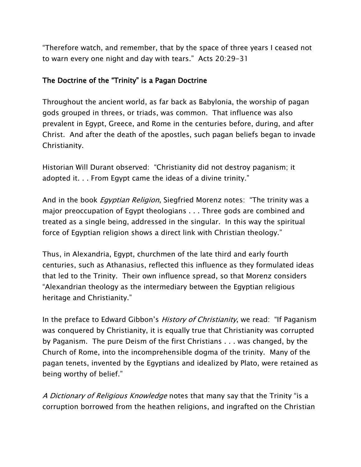"Therefore watch, and remember, that by the space of three years I ceased not to warn every one night and day with tears." Acts 20:29-31

### The Doctrine of the "Trinity" is a Pagan Doctrine

Throughout the ancient world, as far back as Babylonia, the worship of pagan gods grouped in threes, or triads, was common. That influence was also prevalent in Egypt, Greece, and Rome in the centuries before, during, and after Christ. And after the death of the apostles, such pagan beliefs began to invade Christianity.

Historian Will Durant observed: "Christianity did not destroy paganism; it adopted it. . . From Egypt came the ideas of a divine trinity."

And in the book *Egyptian Religion*, Siegfried Morenz notes: "The trinity was a major preoccupation of Egypt theologians . . . Three gods are combined and treated as a single being, addressed in the singular. In this way the spiritual force of Egyptian religion shows a direct link with Christian theology."

Thus, in Alexandria, Egypt, churchmen of the late third and early fourth centuries, such as Athanasius, reflected this influence as they formulated ideas that led to the Trinity. Their own influence spread, so that Morenz considers "Alexandrian theology as the intermediary between the Egyptian religious heritage and Christianity."

In the preface to Edward Gibbon's *History of Christianity*, we read: "If Paganism was conquered by Christianity, it is equally true that Christianity was corrupted by Paganism. The pure Deism of the first Christians . . . was changed, by the Church of Rome, into the incomprehensible dogma of the trinity. Many of the pagan tenets, invented by the Egyptians and idealized by Plato, were retained as being worthy of belief."

A Dictionary of Religious Knowledge notes that many say that the Trinity "is a corruption borrowed from the heathen religions, and ingrafted on the Christian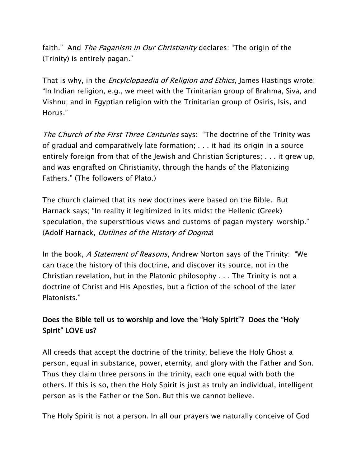faith." And *The Paganism in Our Christianity* declares: "The origin of the (Trinity) is entirely pagan."

That is why, in the *Encylclopaedia of Religion and Ethics*, James Hastings wrote: "In Indian religion, e.g., we meet with the Trinitarian group of Brahma, Siva, and Vishnu; and in Egyptian religion with the Trinitarian group of Osiris, Isis, and Horus."

The Church of the First Three Centuries says: "The doctrine of the Trinity was of gradual and comparatively late formation; . . . it had its origin in a source entirely foreign from that of the Jewish and Christian Scriptures; . . . it grew up, and was engrafted on Christianity, through the hands of the Platonizing Fathers." (The followers of Plato.)

The church claimed that its new doctrines were based on the Bible. But Harnack says; "In reality it legitimized in its midst the Hellenic (Greek) speculation, the superstitious views and customs of pagan mystery-worship." (Adolf Harnack, Outlines of the History of Dogma)

In the book, A Statement of Reasons, Andrew Norton says of the Trinity: "We can trace the history of this doctrine, and discover its source, not in the Christian revelation, but in the Platonic philosophy . . . The Trinity is not a doctrine of Christ and His Apostles, but a fiction of the school of the later Platonists."

## Does the Bible tell us to worship and love the "Holy Spirit"? Does the "Holy Spirit" LOVE us?

All creeds that accept the doctrine of the trinity, believe the Holy Ghost a person, equal in substance, power, eternity, and glory with the Father and Son. Thus they claim three persons in the trinity, each one equal with both the others. If this is so, then the Holy Spirit is just as truly an individual, intelligent person as is the Father or the Son. But this we cannot believe.

The Holy Spirit is not a person. In all our prayers we naturally conceive of God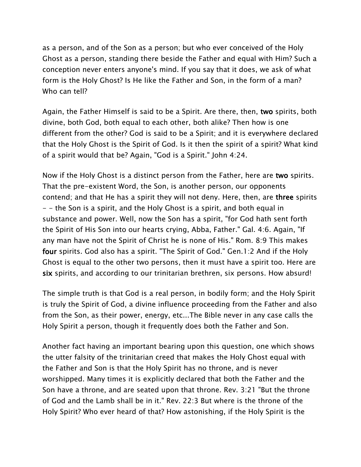as a person, and of the Son as a person; but who ever conceived of the Holy Ghost as a person, standing there beside the Father and equal with Him? Such a conception never enters anyone's mind. If you say that it does, we ask of what form is the Holy Ghost? Is He like the Father and Son, in the form of a man? Who can tell?

Again, the Father Himself is said to be a Spirit. Are there, then, two spirits, both divine, both God, both equal to each other, both alike? Then how is one different from the other? God is said to be a Spirit; and it is everywhere declared that the Holy Ghost is the Spirit of God. Is it then the spirit of a spirit? What kind of a spirit would that be? Again, "God is a Spirit." John 4:24.

Now if the Holy Ghost is a distinct person from the Father, here are two spirits. That the pre-existent Word, the Son, is another person, our opponents contend; and that He has a spirit they will not deny. Here, then, are three spirits - - the Son is a spirit, and the Holy Ghost is a spirit, and both equal in substance and power. Well, now the Son has a spirit, "for God hath sent forth the Spirit of His Son into our hearts crying, Abba, Father." Gal. 4:6. Again, "If any man have not the Spirit of Christ he is none of His." Rom. 8:9 This makes four spirits. God also has a spirit. "The Spirit of God." Gen.1:2 And if the Holy Ghost is equal to the other two persons, then it must have a spirit too. Here are six spirits, and according to our trinitarian brethren, six persons. How absurd!

The simple truth is that God is a real person, in bodily form; and the Holy Spirit is truly the Spirit of God, a divine influence proceeding from the Father and also from the Son, as their power, energy, etc...The Bible never in any case calls the Holy Spirit a person, though it frequently does both the Father and Son.

Another fact having an important bearing upon this question, one which shows the utter falsity of the trinitarian creed that makes the Holy Ghost equal with the Father and Son is that the Holy Spirit has no throne, and is never worshipped. Many times it is explicitly declared that both the Father and the Son have a throne, and are seated upon that throne. Rev. 3:21 "But the throne of God and the Lamb shall be in it." Rev. 22:3 But where is the throne of the Holy Spirit? Who ever heard of that? How astonishing, if the Holy Spirit is the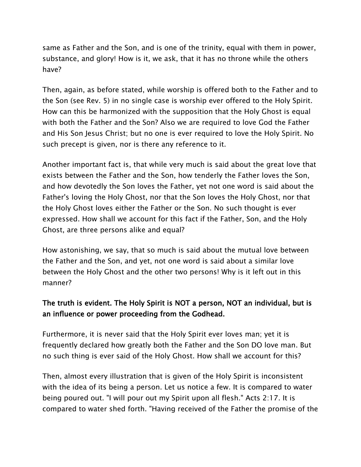same as Father and the Son, and is one of the trinity, equal with them in power, substance, and glory! How is it, we ask, that it has no throne while the others have?

Then, again, as before stated, while worship is offered both to the Father and to the Son (see Rev. 5) in no single case is worship ever offered to the Holy Spirit. How can this be harmonized with the supposition that the Holy Ghost is equal with both the Father and the Son? Also we are required to love God the Father and His Son Jesus Christ; but no one is ever required to love the Holy Spirit. No such precept is given, nor is there any reference to it.

Another important fact is, that while very much is said about the great love that exists between the Father and the Son, how tenderly the Father loves the Son, and how devotedly the Son loves the Father, yet not one word is said about the Father's loving the Holy Ghost, nor that the Son loves the Holy Ghost, nor that the Holy Ghost loves either the Father or the Son. No such thought is ever expressed. How shall we account for this fact if the Father, Son, and the Holy Ghost, are three persons alike and equal?

How astonishing, we say, that so much is said about the mutual love between the Father and the Son, and yet, not one word is said about a similar love between the Holy Ghost and the other two persons! Why is it left out in this manner?

## The truth is evident. The Holy Spirit is NOT a person, NOT an individual, but is an influence or power proceeding from the Godhead.

Furthermore, it is never said that the Holy Spirit ever loves man; yet it is frequently declared how greatly both the Father and the Son DO love man. But no such thing is ever said of the Holy Ghost. How shall we account for this?

Then, almost every illustration that is given of the Holy Spirit is inconsistent with the idea of its being a person. Let us notice a few. It is compared to water being poured out. "I will pour out my Spirit upon all flesh." Acts 2:17. It is compared to water shed forth. "Having received of the Father the promise of the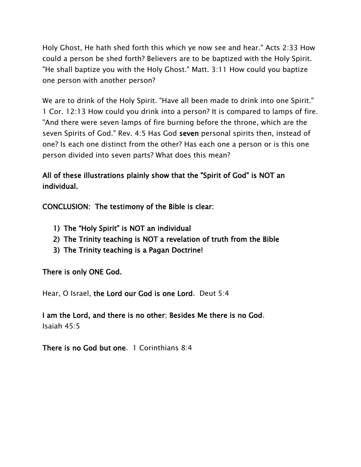Holy Ghost, He hath shed forth this which ye now see and hear." Acts 2:33 How could a person be shed forth? Believers are to be baptized with the Holy Spirit. "He shall baptize you with the Holy Ghost." Matt. 3:11 How could you baptize one person with another person?

We are to drink of the Holy Spirit. "Have all been made to drink into one Spirit." 1 Cor. 12:13 How could you drink into a person? It is compared to lamps of fire. "And there were seven lamps of fire burning before the throne, which are the seven Spirits of God." Rev. 4:5 Has God seven personal spirits then, instead of one? Is each one distinct from the other? Has each one a person or is this one person divided into seven parts? What does this mean?

All of these illustrations plainly show that the "Spirit of God" is NOT an individual.

CONCLUSION: The testimony of the Bible is clear:

- 1) The "Holy Spirit" is NOT an individual
- 2) The Trinity teaching is NOT a revelation of truth from the Bible
- 3) The Trinity teaching is a Pagan Doctrine!

There is only ONE God.

Hear, O Israel, the Lord our God is one Lord. Deut 5:4

I am the Lord, and there is no other; Besides Me there is no God. Isaiah 45:5

There is no God but one. 1 Corinthians 8:4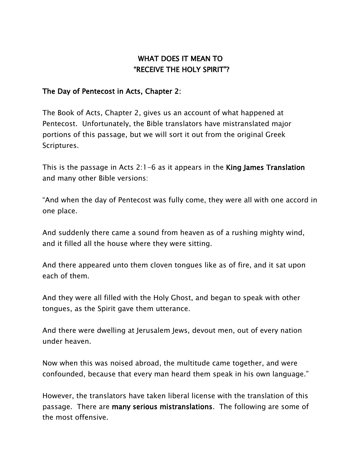## WHAT DOES IT MEAN TO "RECEIVE THE HOLY SPIRIT"?

#### The Day of Pentecost in Acts, Chapter 2:

The Book of Acts, Chapter 2, gives us an account of what happened at Pentecost. Unfortunately, the Bible translators have mistranslated major portions of this passage, but we will sort it out from the original Greek Scriptures.

This is the passage in Acts 2:1-6 as it appears in the King James Translation and many other Bible versions:

"And when the day of Pentecost was fully come, they were all with one accord in one place.

And suddenly there came a sound from heaven as of a rushing mighty wind, and it filled all the house where they were sitting.

And there appeared unto them cloven tongues like as of fire, and it sat upon each of them.

And they were all filled with the Holy Ghost, and began to speak with other tongues, as the Spirit gave them utterance.

And there were dwelling at Jerusalem Jews, devout men, out of every nation under heaven.

Now when this was noised abroad, the multitude came together, and were confounded, because that every man heard them speak in his own language."

However, the translators have taken liberal license with the translation of this passage. There are many serious mistranslations. The following are some of the most offensive.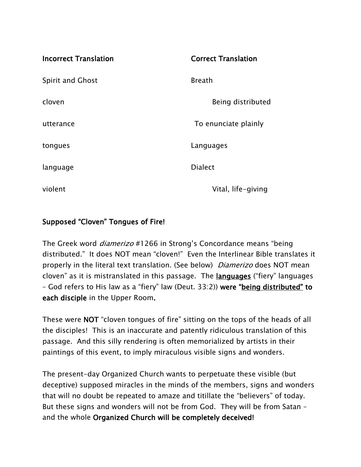| <b>Incorrect Translation</b> | <b>Correct Translation</b> |
|------------------------------|----------------------------|
| <b>Spirit and Ghost</b>      | <b>Breath</b>              |
| cloven                       | Being distributed          |
| utterance                    | To enunciate plainly       |
| tongues                      | Languages                  |
| language                     | <b>Dialect</b>             |
| violent                      | Vital, life-giving         |

### Supposed "Cloven" Tongues of Fire!

The Greek word *diamerizo* #1266 in Strong's Concordance means "being distributed." It does NOT mean "cloven!" Even the Interlinear Bible translates it properly in the literal text translation. (See below) *Diamerizo* does NOT mean cloven" as it is mistranslated in this passage. The languages ("fiery" languages – God refers to His law as a "fiery" law (Deut. 33:2)) were "being distributed" to each disciple in the Upper Room.

These were NOT "cloven tongues of fire" sitting on the tops of the heads of all the disciples! This is an inaccurate and patently ridiculous translation of this passage. And this silly rendering is often memorialized by artists in their paintings of this event, to imply miraculous visible signs and wonders.

The present-day Organized Church wants to perpetuate these visible (but deceptive) supposed miracles in the minds of the members, signs and wonders that will no doubt be repeated to amaze and titillate the "believers" of today. But these signs and wonders will not be from God. They will be from Satan – and the whole Organized Church will be completely deceived!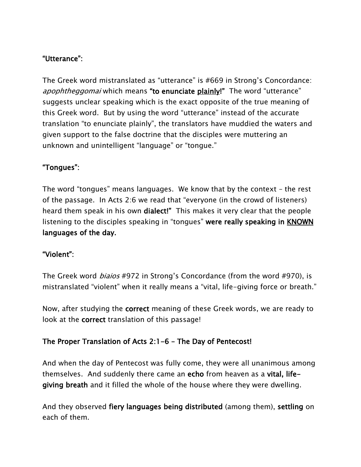### "Utterance":

The Greek word mistranslated as "utterance" is #669 in Strong's Concordance: apophtheggomai which means "to enunciate plainly!" The word "utterance" suggests unclear speaking which is the exact opposite of the true meaning of this Greek word. But by using the word "utterance" instead of the accurate translation "to enunciate plainly", the translators have muddied the waters and given support to the false doctrine that the disciples were muttering an unknown and unintelligent "language" or "tongue."

### "Tongues":

The word "tongues" means languages. We know that by the context – the rest of the passage. In Acts 2:6 we read that "everyone (in the crowd of listeners) heard them speak in his own **dialect!**" This makes it very clear that the people listening to the disciples speaking in "tongues" were really speaking in **KNOWN** languages of the day.

### "Violent":

The Greek word biaios #972 in Strong's Concordance (from the word #970), is mistranslated "violent" when it really means a "vital, life-giving force or breath."

Now, after studying the correct meaning of these Greek words, we are ready to look at the correct translation of this passage!

### The Proper Translation of Acts 2:1-6 – The Day of Pentecost!

And when the day of Pentecost was fully come, they were all unanimous among themselves. And suddenly there came an echo from heaven as a vital, lifegiving breath and it filled the whole of the house where they were dwelling.

And they observed fiery languages being distributed (among them), settling on each of them.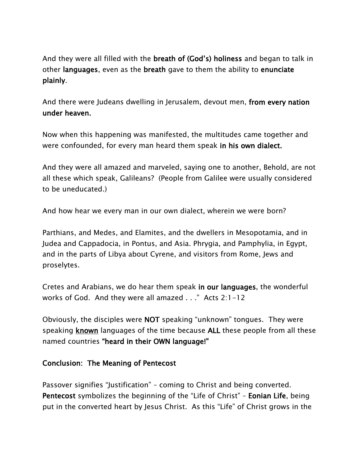And they were all filled with the breath of (God's) holiness and began to talk in other languages, even as the breath gave to them the ability to enunciate plainly.

And there were Judeans dwelling in Jerusalem, devout men, from every nation under heaven.

Now when this happening was manifested, the multitudes came together and were confounded, for every man heard them speak in his own dialect.

And they were all amazed and marveled, saying one to another, Behold, are not all these which speak, Galileans? (People from Galilee were usually considered to be uneducated.)

And how hear we every man in our own dialect, wherein we were born?

Parthians, and Medes, and Elamites, and the dwellers in Mesopotamia, and in Judea and Cappadocia, in Pontus, and Asia. Phrygia, and Pamphylia, in Egypt, and in the parts of Libya about Cyrene, and visitors from Rome, Jews and proselytes.

Cretes and Arabians, we do hear them speak in our languages, the wonderful works of God. And they were all amazed . . ." Acts 2:1-12

Obviously, the disciples were NOT speaking "unknown" tongues. They were speaking known languages of the time because ALL these people from all these named countries "heard in their OWN language!"

#### Conclusion: The Meaning of Pentecost

Passover signifies "Justification" – coming to Christ and being converted. Pentecost symbolizes the beginning of the "Life of Christ" – Eonian Life, being put in the converted heart by Jesus Christ. As this "Life" of Christ grows in the